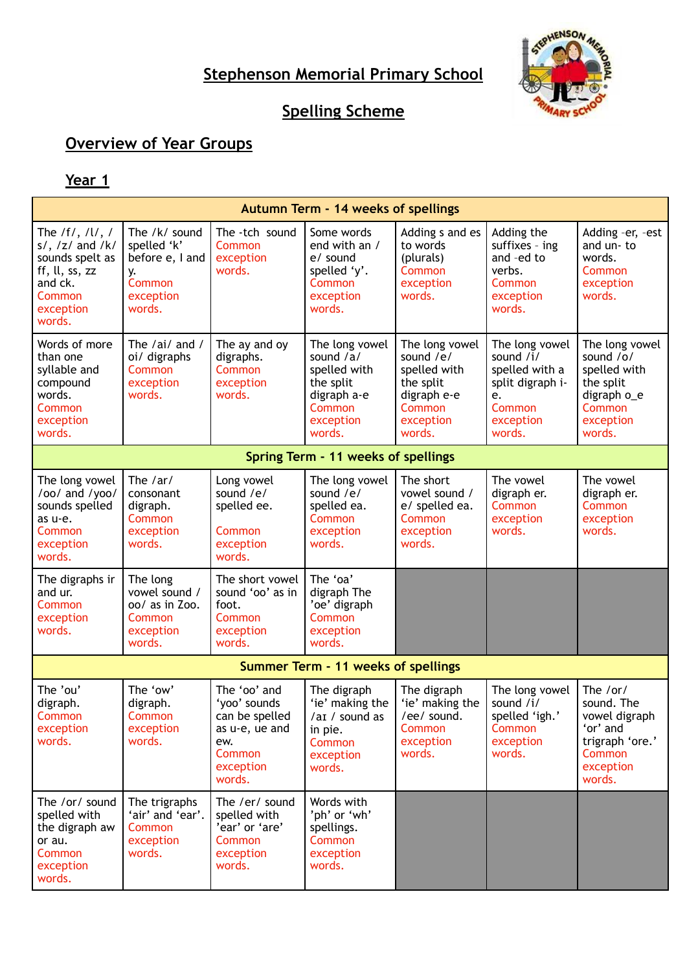# **Stephenson Memorial Primary School**



# **Spelling Scheme**

# **Overview of Year Groups**

| Autumn Term - 14 weeks of spellings                                                                                              |                                                                                        |                                                                                                          |                                                                                                          |                                                                                                            |                                                                                                          |                                                                                                          |  |
|----------------------------------------------------------------------------------------------------------------------------------|----------------------------------------------------------------------------------------|----------------------------------------------------------------------------------------------------------|----------------------------------------------------------------------------------------------------------|------------------------------------------------------------------------------------------------------------|----------------------------------------------------------------------------------------------------------|----------------------------------------------------------------------------------------------------------|--|
| The $/f/$ , $/$ , $/$<br>$s/$ , $/z/$ and $/k/$<br>sounds spelt as<br>ff, ll, ss, zz<br>and ck.<br>Common<br>exception<br>words. | The /k/ sound<br>spelled 'k'<br>before e, I and<br>у.<br>Common<br>exception<br>words. | The -tch sound<br>Common<br>exception<br>words.                                                          | Some words<br>end with an /<br>e/ sound<br>spelled 'y'.<br>Common<br>exception<br>words.                 | Adding s and es<br>to words<br>(plurals)<br>Common<br>exception<br>words.                                  | Adding the<br>suffixes - $ing$<br>and -ed to<br>verbs.<br>Common<br>exception<br>words.                  | Adding -er, -est<br>and un-to<br>words.<br>Common<br>exception<br>words.                                 |  |
| Words of more<br>than one<br>syllable and<br>compound<br>words.<br>Common<br>exception<br>words.                                 | The /ai/ and /<br>oi/ digraphs<br>Common<br>exception<br>words.                        | The ay and oy<br>digraphs.<br>Common<br>exception<br>words.                                              | The long vowel<br>sound /a/<br>spelled with<br>the split<br>digraph a-e<br>Common<br>exception<br>words. | The long vowel<br>sound $/e/$<br>spelled with<br>the split<br>digraph e-e<br>Common<br>exception<br>words. | The long vowel<br>sound /i/<br>spelled with a<br>split digraph i-<br>e.<br>Common<br>exception<br>words. | The long vowel<br>sound /o/<br>spelled with<br>the split<br>digraph o_e<br>Common<br>exception<br>words. |  |
| Spring Term - 11 weeks of spellings                                                                                              |                                                                                        |                                                                                                          |                                                                                                          |                                                                                                            |                                                                                                          |                                                                                                          |  |
| The long vowel<br>/oo/ and /yoo/<br>sounds spelled<br>as u-e.<br>Common<br>exception<br>words.                                   | The $/ar/$<br>consonant<br>digraph.<br>Common<br>exception<br>words.                   | Long vowel<br>sound /e/<br>spelled ee.<br>Common<br>exception<br>words.                                  | The long vowel<br>sound /e/<br>spelled ea.<br>Common<br>exception<br>words.                              | The short<br>vowel sound /<br>e/ spelled ea.<br>Common<br>exception<br>words.                              | The vowel<br>digraph er.<br>Common<br>exception<br>words.                                                | The vowel<br>digraph er.<br>Common<br>exception<br>words.                                                |  |
| The digraphs ir<br>and ur.<br>Common<br>exception<br>words.                                                                      | The long<br>vowel sound /<br>oo/ as in Zoo.<br>Common<br>exception<br>words.           | The short vowel<br>sound 'oo' as in<br>foot.<br>Common<br>exception<br>words.                            | The 'oa'<br>digraph The<br>'oe' digraph<br>Common<br>exception<br>words.                                 |                                                                                                            |                                                                                                          |                                                                                                          |  |
|                                                                                                                                  |                                                                                        |                                                                                                          | Summer Term - 11 weeks of spellings                                                                      |                                                                                                            |                                                                                                          |                                                                                                          |  |
| The 'ou'<br>digraph.<br>Common<br>exception<br>words.                                                                            | The 'ow'<br>digraph.<br><b>Common</b><br>exception<br>words.                           | The 'oo' and<br>'yoo' sounds<br>can be spelled<br>as u-e, ue and<br>ew.<br>Common<br>exception<br>words. | The digraph<br>'ie' making the<br>/aɪ / sound as<br>in pie.<br>Common<br>exception<br>words.             | The digraph<br>'ie' making the<br>/ee/ sound.<br>Common<br>exception<br>words.                             | The long vowel<br>sound /i/<br>spelled 'igh.'<br>Common<br>exception<br>words.                           | The /or/<br>sound. The<br>vowel digraph<br>'or' and<br>trigraph 'ore.'<br>Common<br>exception<br>words.  |  |
| The /or/ sound<br>spelled with<br>the digraph aw<br>or au.<br>Common<br>exception<br>words.                                      | The trigraphs<br>'air' and 'ear'.<br>Common<br>exception<br>words.                     | The /er/ sound<br>spelled with<br>'ear' or 'are'<br>Common<br>exception<br>words.                        | Words with<br>'ph' or 'wh'<br>spellings.<br>Common<br>exception<br>words.                                |                                                                                                            |                                                                                                          |                                                                                                          |  |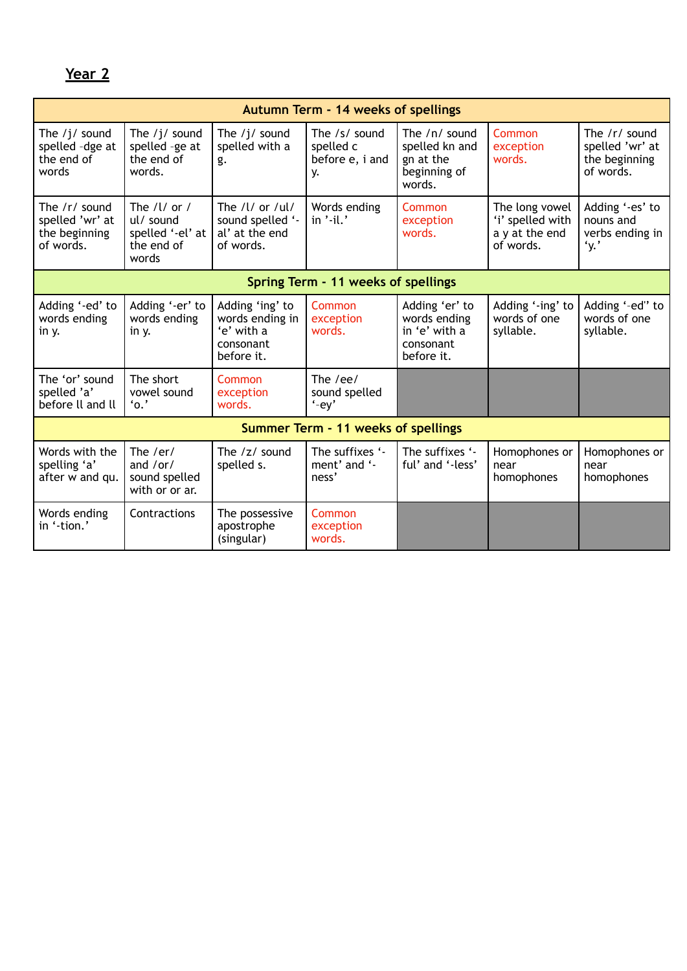| Autumn Term - 14 weeks of spellings                              |                                                                              |                                                                                   |                                                     |                                                                            |                                                                   |                                                                  |  |
|------------------------------------------------------------------|------------------------------------------------------------------------------|-----------------------------------------------------------------------------------|-----------------------------------------------------|----------------------------------------------------------------------------|-------------------------------------------------------------------|------------------------------------------------------------------|--|
| The $/j/$ sound<br>spelled -dge at<br>the end of<br>words        | The $/j/$ sound<br>spelled -ge at<br>the end of<br>words.                    | The $/j/$ sound<br>spelled with a<br>g.                                           | The /s/ sound<br>spelled c<br>before e, i and<br>у. | The $/n/$ sound<br>spelled kn and<br>gn at the<br>beginning of<br>words.   | Common<br>exception<br>words.                                     | The $/r/$ sound<br>spelled 'wr' at<br>the beginning<br>of words. |  |
| The $/r/$ sound<br>spelled 'wr' at<br>the beginning<br>of words. | The $/$ l $/$ or $/$<br>ul/ sound<br>spelled '-el' at<br>the end of<br>words | The $/$ <i>l</i> or $/$ ul $/$<br>sound spelled '-<br>al' at the end<br>of words. | Words ending<br>in $'$ -il.'                        | Common<br>exception<br>words.                                              | The long vowel<br>'i' spelled with<br>a y at the end<br>of words. | Adding '-es' to<br>nouns and<br>verbs ending in<br>$\cdot$ v.'   |  |
| Spring Term - 11 weeks of spellings                              |                                                                              |                                                                                   |                                                     |                                                                            |                                                                   |                                                                  |  |
| Adding '-ed' to<br>words ending<br>in y.                         | Adding '-er' to<br>words ending<br>in y.                                     | Adding 'ing' to<br>words ending in<br>'e' with a<br>consonant<br>before it.       | Common<br>exception<br>words.                       | Adding 'er' to<br>words ending<br>in 'e' with a<br>consonant<br>before it. | Adding '-ing' to<br>words of one<br>syllable.                     | Adding '-ed" to<br>words of one<br>syllable.                     |  |
| The 'or' sound<br>spelled 'a'<br>before II and II                | The short<br>vowel sound<br>$\cdot$ 0.'                                      | Common<br>exception<br>words.                                                     | The $/ee/$<br>sound spelled<br>$-ey'$               |                                                                            |                                                                   |                                                                  |  |
| Summer Term - 11 weeks of spellings                              |                                                                              |                                                                                   |                                                     |                                                                            |                                                                   |                                                                  |  |
| Words with the<br>spelling 'a'<br>after w and qu.                | The /er/<br>and $/or/$<br>sound spelled<br>with or or ar.                    | The $/z/$ sound<br>spelled s.                                                     | The suffixes '-<br>ment' and '-<br>ness'            | The suffixes '-<br>ful' and '-less'                                        | Homophones or<br>near<br>homophones                               | Homophones or<br>near<br>homophones                              |  |
| Words ending<br>in '-tion.'                                      | <b>Contractions</b>                                                          | The possessive<br>apostrophe<br>(singular)                                        | Common<br>exception<br>words.                       |                                                                            |                                                                   |                                                                  |  |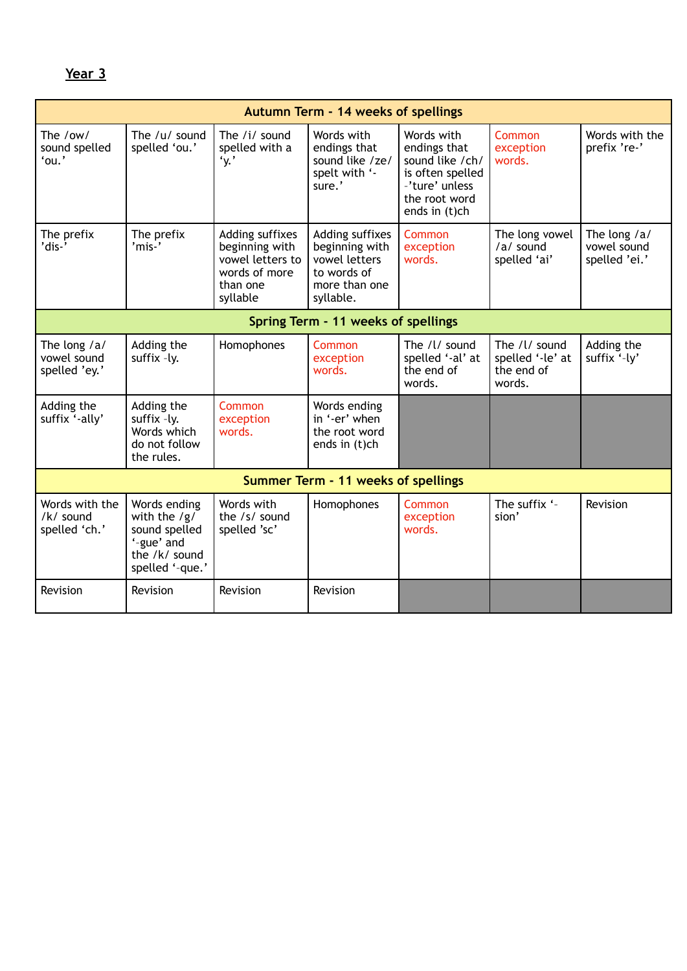| Autumn Term - 14 weeks of spellings          |                                                                                                   |                                                                                                |                                                                                                 |                                                                                                                       |                                                           |                                                |  |
|----------------------------------------------|---------------------------------------------------------------------------------------------------|------------------------------------------------------------------------------------------------|-------------------------------------------------------------------------------------------------|-----------------------------------------------------------------------------------------------------------------------|-----------------------------------------------------------|------------------------------------------------|--|
| The /ow/<br>sound spelled<br>'ou.'           | The /u/ sound<br>spelled 'ou.'                                                                    | The /i/ sound<br>spelled with a<br>$\dot{v}$ ,                                                 | Words with<br>endings that<br>sound like /ze/<br>spelt with '-<br>sure.'                        | Words with<br>endings that<br>sound like /ch/<br>is often spelled<br>-'ture' unless<br>the root word<br>ends in (t)ch | <b>Common</b><br>exception<br>words.                      | Words with the<br>prefix 're-'                 |  |
| The prefix<br>'dis-'                         | The prefix<br>'mis-'                                                                              | Adding suffixes<br>beginning with<br>vowel letters to<br>words of more<br>than one<br>syllable | Adding suffixes<br>beginning with<br>vowel letters<br>to words of<br>more than one<br>syllable. | Common<br>exception<br>words.                                                                                         | The long vowel<br>/a/ sound<br>spelled 'ai'               | The long $/a/$<br>vowel sound<br>spelled 'ei.' |  |
| Spring Term - 11 weeks of spellings          |                                                                                                   |                                                                                                |                                                                                                 |                                                                                                                       |                                                           |                                                |  |
| The long /a/<br>vowel sound<br>spelled 'ey.' | Adding the<br>suffix -ly.                                                                         | Homophones                                                                                     | Common<br>exception<br>words.                                                                   | The /l/ sound<br>spelled '-al' at<br>the end of<br>words.                                                             | The /l/ sound<br>spelled '-le' at<br>the end of<br>words. | Adding the<br>suffix '-ly'                     |  |
| Adding the<br>suffix '-ally'                 | Adding the<br>suffix -ly.<br>Words which<br>do not follow<br>the rules.                           | Common<br>exception<br>words.                                                                  | Words ending<br>in '-er' when<br>the root word<br>ends in (t)ch                                 |                                                                                                                       |                                                           |                                                |  |
| <b>Summer Term - 11 weeks of spellings</b>   |                                                                                                   |                                                                                                |                                                                                                 |                                                                                                                       |                                                           |                                                |  |
| Words with the<br>/k/ sound<br>spelled 'ch.' | Words ending<br>with the $/g/$<br>sound spelled<br>'-gue' and<br>the /k/ sound<br>spelled '-que.' | Words with<br>the /s/ sound<br>spelled 'sc'                                                    | Homophones                                                                                      | Common<br>exception<br>words.                                                                                         | The suffix '-<br>sion'                                    | Revision                                       |  |
| Revision                                     | Revision                                                                                          | Revision                                                                                       | Revision                                                                                        |                                                                                                                       |                                                           |                                                |  |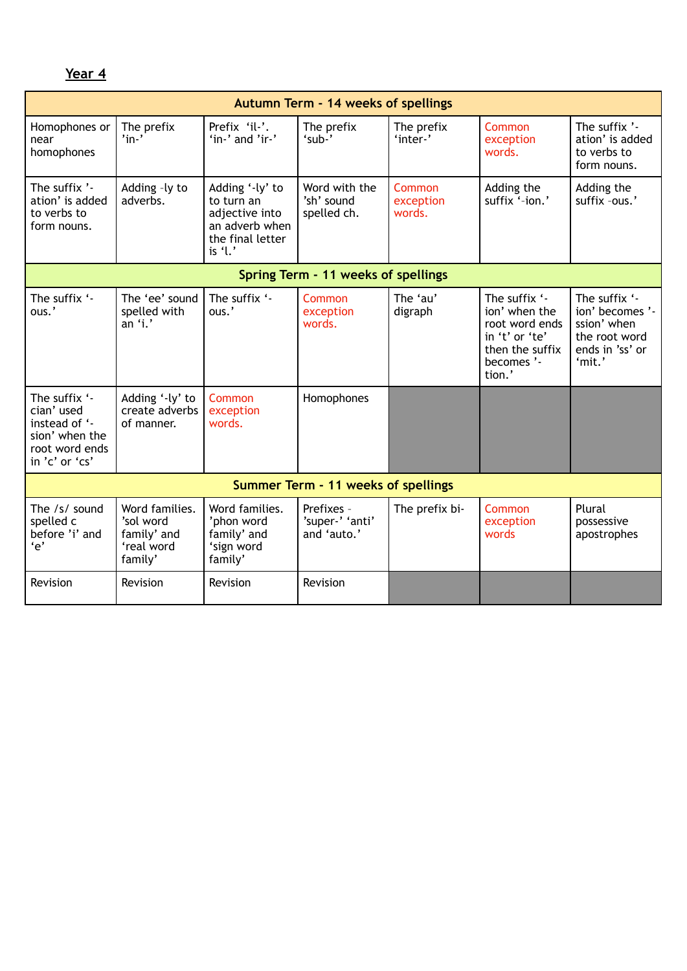|                                                                                                    | Autumn Term - 14 weeks of spellings                                 |                                                                                                   |                                              |                               |                                                                                                               |                                                                                               |  |  |
|----------------------------------------------------------------------------------------------------|---------------------------------------------------------------------|---------------------------------------------------------------------------------------------------|----------------------------------------------|-------------------------------|---------------------------------------------------------------------------------------------------------------|-----------------------------------------------------------------------------------------------|--|--|
| Homophones or<br>near<br>homophones                                                                | The prefix<br>'in'                                                  | Prefix 'il-'.<br>'in-' and 'ir-'                                                                  | The prefix<br>'sub-'                         | The prefix<br>'inter-'        | Common<br>exception<br>words.                                                                                 | The suffix '-<br>ation' is added<br>to verbs to<br>form nouns.                                |  |  |
| The suffix '-<br>ation' is added<br>to verbs to<br>form nouns.                                     | Adding -ly to<br>adverbs.                                           | Adding '-ly' to<br>to turn an<br>adjective into<br>an adverb when<br>the final letter<br>is $'$ . | Word with the<br>'sh' sound<br>spelled ch.   | Common<br>exception<br>words. | Adding the<br>suffix '-ion.'                                                                                  | Adding the<br>suffix -ous.'                                                                   |  |  |
|                                                                                                    |                                                                     |                                                                                                   | Spring Term - 11 weeks of spellings          |                               |                                                                                                               |                                                                                               |  |  |
| The suffix '-<br>ous.'                                                                             | The 'ee' sound<br>spelled with<br>an 'i.'                           | The suffix '-<br>ous.'                                                                            | Common<br>exception<br>words.                | The 'au'<br>digraph           | The suffix '-<br>ion' when the<br>root word ends<br>in 't' or 'te'<br>then the suffix<br>becomes '-<br>tion.' | The suffix '-<br>ion' becomes '-<br>ssion' when<br>the root word<br>ends in 'ss' or<br>'mit.' |  |  |
| The suffix '-<br>cian' used<br>instead of '-<br>sion' when the<br>root word ends<br>in 'c' or 'cs' | Adding '-ly' to<br>create adverbs<br>of manner.                     | Common<br>exception<br>words.                                                                     | Homophones                                   |                               |                                                                                                               |                                                                                               |  |  |
| Summer Term - 11 weeks of spellings                                                                |                                                                     |                                                                                                   |                                              |                               |                                                                                                               |                                                                                               |  |  |
| The /s/ sound<br>spelled c<br>before 'i' and<br>'e'                                                | Word families.<br>'sol word<br>family' and<br>'real word<br>family' | Word families.<br>'phon word<br>family' and<br>'sign word<br>family'                              | Prefixes -<br>'super-' 'anti'<br>and 'auto.' | The prefix bi-                | Common<br>exception<br>words                                                                                  | Plural<br>possessive<br>apostrophes                                                           |  |  |
| Revision                                                                                           | Revision                                                            | Revision                                                                                          | Revision                                     |                               |                                                                                                               |                                                                                               |  |  |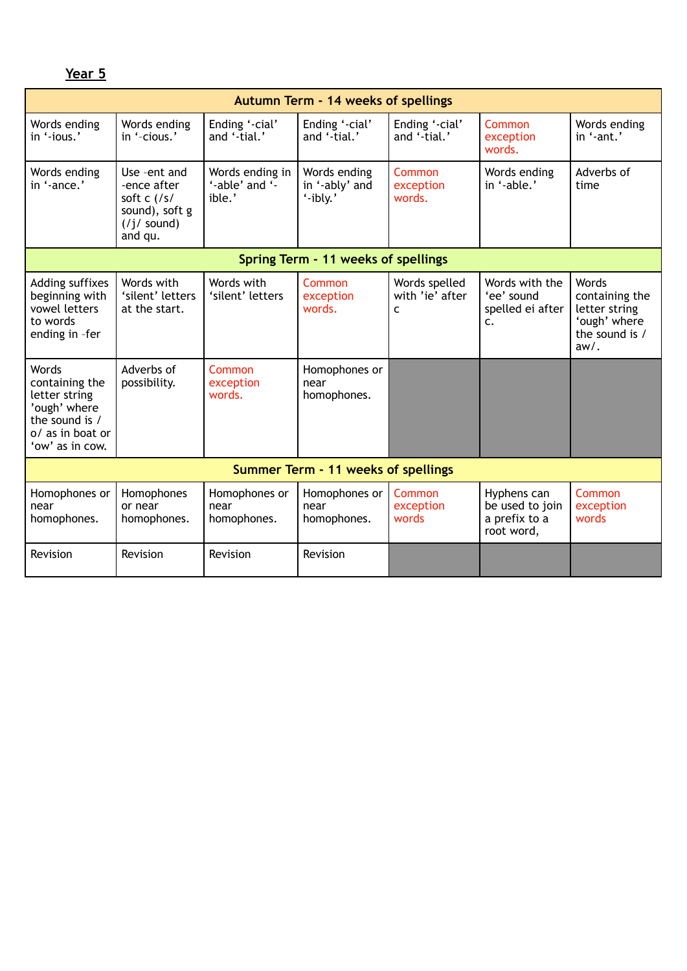| Year 5                                                                                                            |                                                                                                   |                                             |                                            |                                       |                                                               |                                                                                       |  |  |
|-------------------------------------------------------------------------------------------------------------------|---------------------------------------------------------------------------------------------------|---------------------------------------------|--------------------------------------------|---------------------------------------|---------------------------------------------------------------|---------------------------------------------------------------------------------------|--|--|
| Autumn Term - 14 weeks of spellings                                                                               |                                                                                                   |                                             |                                            |                                       |                                                               |                                                                                       |  |  |
| Words ending<br>in '-ious.'                                                                                       | Words ending<br>in '-cious.'                                                                      | Ending '-cial'<br>and '-tial.'              | Ending '-cial'<br>and '-tial.'             | Ending '-cial'<br>and '-tial.'        | <b>Common</b><br>exception<br>words.                          | Words ending<br>in '-ant.'                                                            |  |  |
| Words ending<br>in '-ance.'                                                                                       | Use -ent and<br>-ence after<br>soft $c$ (/s/<br>sound), soft g<br>$\frac{1}{2}$ sound)<br>and qu. | Words ending in<br>'-able' and '-<br>ible.' | Words ending<br>in '-ably' and<br>'-ibly.' | Common<br>exception<br>words.         | Words ending<br>in '-able.'                                   | Adverbs of<br>time                                                                    |  |  |
|                                                                                                                   |                                                                                                   |                                             | Spring Term - 11 weeks of spellings        |                                       |                                                               |                                                                                       |  |  |
| Adding suffixes<br>beginning with<br>vowel letters<br>to words<br>ending in -fer                                  | Words with<br>'silent' letters<br>at the start.                                                   | Words with<br>'silent' letters              | Common<br>exception<br>words.              | Words spelled<br>with 'ie' after<br>C | Words with the<br>'ee' sound<br>spelled ei after<br>c.        | Words<br>containing the<br>letter string<br>'ough' where<br>the sound is /<br>$aw/$ . |  |  |
| Words<br>containing the<br>letter string<br>'ough' where<br>the sound is /<br>o/ as in boat or<br>'ow' as in cow. | Adverbs of<br>possibility.                                                                        | Common<br>exception<br>words.               | Homophones or<br>near<br>homophones.       |                                       |                                                               |                                                                                       |  |  |
| Summer Term - 11 weeks of spellings                                                                               |                                                                                                   |                                             |                                            |                                       |                                                               |                                                                                       |  |  |
| Homophones or<br>near<br>homophones.                                                                              | Homophones<br>or near<br>homophones.                                                              | Homophones or<br>near<br>homophones.        | Homophones or<br>near<br>homophones.       | Common<br>exception<br>words          | Hyphens can<br>be used to join<br>a prefix to a<br>root word, | Common<br>exception<br>words                                                          |  |  |
| Revision                                                                                                          | Revision                                                                                          | Revision                                    | Revision                                   |                                       |                                                               |                                                                                       |  |  |